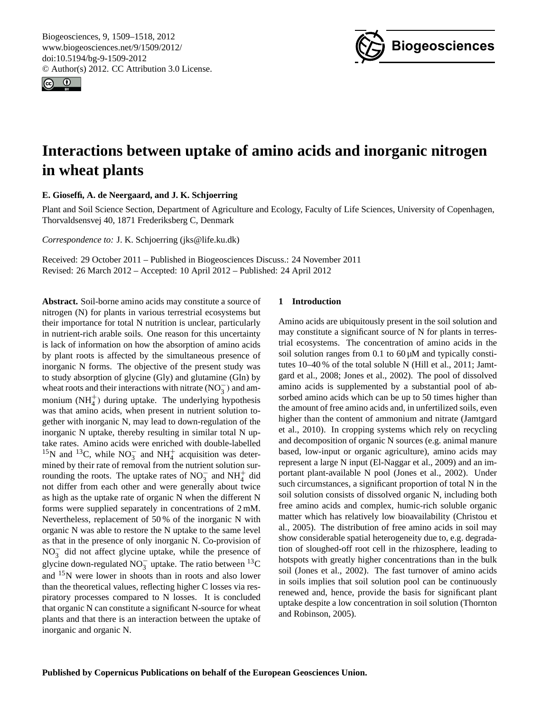<span id="page-0-0"></span>Biogeosciences, 9, 1509–1518, 2012 www.biogeosciences.net/9/1509/2012/ doi:10.5194/bg-9-1509-2012 © Author(s) 2012. CC Attribution 3.0 License.





# **Interactions between uptake of amino acids and inorganic nitrogen in wheat plants**

## **E. Gioseffi, A. de Neergaard, and J. K. Schjoerring**

Plant and Soil Science Section, Department of Agriculture and Ecology, Faculty of Life Sciences, University of Copenhagen, Thorvaldsensvej 40, 1871 Frederiksberg C, Denmark

*Correspondence to:* J. K. Schjoerring (jks@life.ku.dk)

Received: 29 October 2011 – Published in Biogeosciences Discuss.: 24 November 2011 Revised: 26 March 2012 – Accepted: 10 April 2012 – Published: 24 April 2012

**Abstract.** Soil-borne amino acids may constitute a source of nitrogen (N) for plants in various terrestrial ecosystems but their importance for total N nutrition is unclear, particularly in nutrient-rich arable soils. One reason for this uncertainty is lack of information on how the absorption of amino acids by plant roots is affected by the simultaneous presence of inorganic N forms. The objective of the present study was to study absorption of glycine (Gly) and glutamine (Gln) by wheat roots and their interactions with nitrate ( $NO<sub>3</sub><sup>-</sup>$ ) and ammonium  $(NH_4^+)$  during uptake. The underlying hypothesis was that amino acids, when present in nutrient solution together with inorganic N, may lead to down-regulation of the inorganic N uptake, thereby resulting in similar total N uptake rates. Amino acids were enriched with double-labelled <sup>15</sup>N and <sup>13</sup>C, while NO<sub>3</sub> and NH<sub>4</sub><sup>+</sup> acquisition was determined by their rate of removal from the nutrient solution surrounding the roots. The uptake rates of  $NO_3^-$  and  $NH_4^+$  did not differ from each other and were generally about twice as high as the uptake rate of organic N when the different N forms were supplied separately in concentrations of 2 mM. Nevertheless, replacement of 50 % of the inorganic N with organic N was able to restore the N uptake to the same level as that in the presence of only inorganic N. Co-provision of NO<sub>3</sub> did not affect glycine uptake, while the presence of glycine down-regulated NO<sub>3</sub> uptake. The ratio between <sup>13</sup>C and <sup>15</sup>N were lower in shoots than in roots and also lower than the theoretical values, reflecting higher C losses via respiratory processes compared to N losses. It is concluded that organic N can constitute a significant N-source for wheat plants and that there is an interaction between the uptake of inorganic and organic N.

## **1 Introduction**

Amino acids are ubiquitously present in the soil solution and may constitute a significant source of N for plants in terrestrial ecosystems. The concentration of amino acids in the soil solution ranges from 0.1 to 60  $\mu$ M and typically constitutes 10–40 % of the total soluble N (Hill et al., 2011; Jamtgard et al., 2008; Jones et al., 2002). The pool of dissolved amino acids is supplemented by a substantial pool of absorbed amino acids which can be up to 50 times higher than the amount of free amino acids and, in unfertilized soils, even higher than the content of ammonium and nitrate (Jamtgard et al., 2010). In cropping systems which rely on recycling and decomposition of organic N sources (e.g. animal manure based, low-input or organic agriculture), amino acids may represent a large N input (El-Naggar et al., 2009) and an important plant-available N pool (Jones et al., 2002). Under such circumstances, a significant proportion of total N in the soil solution consists of dissolved organic N, including both free amino acids and complex, humic-rich soluble organic matter which has relatively low bioavailability (Christou et al., 2005). The distribution of free amino acids in soil may show considerable spatial heterogeneity due to, e.g. degradation of sloughed-off root cell in the rhizosphere, leading to hotspots with greatly higher concentrations than in the bulk soil (Jones et al., 2002). The fast turnover of amino acids in soils implies that soil solution pool can be continuously renewed and, hence, provide the basis for significant plant uptake despite a low concentration in soil solution (Thornton and Robinson, 2005).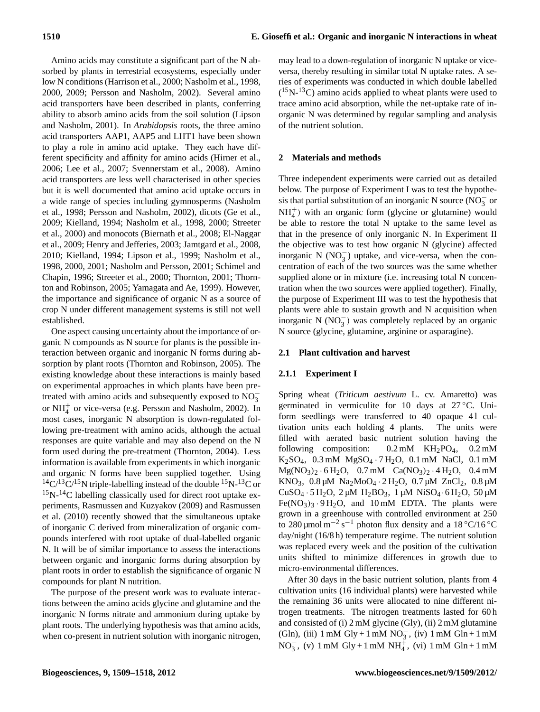Amino acids may constitute a significant part of the N absorbed by plants in terrestrial ecosystems, especially under low N conditions (Harrison et al., 2000; Nasholm et al., 1998, 2000, 2009; Persson and Nasholm, 2002). Several amino acid transporters have been described in plants, conferring ability to absorb amino acids from the soil solution (Lipson and Nasholm, 2001). In *Arabidopsis* roots, the three amino acid transporters AAP1, AAP5 and LHT1 have been shown to play a role in amino acid uptake. They each have different specificity and affinity for amino acids (Hirner et al., 2006; Lee et al., 2007; Svennerstam et al., 2008). Amino acid transporters are less well characterised in other species but it is well documented that amino acid uptake occurs in a wide range of species including gymnosperms (Nasholm et al., 1998; Persson and Nasholm, 2002), dicots (Ge et al., 2009; Kielland, 1994; Nasholm et al., 1998, 2000; Streeter et al., 2000) and monocots (Biernath et al., 2008; El-Naggar et al., 2009; Henry and Jefferies, 2003; Jamtgard et al., 2008, 2010; Kielland, 1994; Lipson et al., 1999; Nasholm et al., 1998, 2000, 2001; Nasholm and Persson, 2001; Schimel and Chapin, 1996; Streeter et al., 2000; Thornton, 2001; Thornton and Robinson, 2005; Yamagata and Ae, 1999). However, the importance and significance of organic N as a source of crop N under different management systems is still not well established.

One aspect causing uncertainty about the importance of organic N compounds as N source for plants is the possible interaction between organic and inorganic N forms during absorption by plant roots (Thornton and Robinson, 2005). The existing knowledge about these interactions is mainly based on experimental approaches in which plants have been pretreated with amino acids and subsequently exposed to  $\overline{NO_3^-}$ or  $NH_4^+$  or vice-versa (e.g. Persson and Nasholm, 2002). In most cases, inorganic N absorption is down-regulated following pre-treatment with amino acids, although the actual responses are quite variable and may also depend on the N form used during the pre-treatment (Thornton, 2004). Less information is available from experiments in which inorganic and organic N forms have been supplied together. Using  $14C/13C/15N$  triple-labelling instead of the double  $15N-13C$  or  $15$ N- $14$ C labelling classically used for direct root uptake experiments, Rasmussen and Kuzyakov (2009) and Rasmussen et al. (2010) recently showed that the simultaneous uptake of inorganic C derived from mineralization of organic compounds interfered with root uptake of dual-labelled organic N. It will be of similar importance to assess the interactions between organic and inorganic forms during absorption by plant roots in order to establish the significance of organic N compounds for plant N nutrition.

The purpose of the present work was to evaluate interactions between the amino acids glycine and glutamine and the inorganic N forms nitrate and ammonium during uptake by plant roots. The underlying hypothesis was that amino acids, when co-present in nutrient solution with inorganic nitrogen, may lead to a down-regulation of inorganic N uptake or viceversa, thereby resulting in similar total N uptake rates. A series of experiments was conducted in which double labelled  $(^{15}N^{-13}C)$  amino acids applied to wheat plants were used to trace amino acid absorption, while the net-uptake rate of inorganic N was determined by regular sampling and analysis of the nutrient solution.

## **2 Materials and methods**

Three independent experiments were carried out as detailed below. The purpose of Experiment I was to test the hypothesis that partial substitution of an inorganic N source ( $\overline{NO_3^-}$  or  $NH<sub>4</sub><sup>+</sup>$ ) with an organic form (glycine or glutamine) would be able to restore the total N uptake to the same level as that in the presence of only inorganic N. In Experiment II the objective was to test how organic N (glycine) affected inorganic N (NO<sup>−</sup> 3 ) uptake, and vice-versa, when the concentration of each of the two sources was the same whether supplied alone or in mixture (i.e. increasing total N concentration when the two sources were applied together). Finally, the purpose of Experiment III was to test the hypothesis that plants were able to sustain growth and N acquisition when inorganic N  $(NO<sub>3</sub><sup>-</sup>)$  was completely replaced by an organic N source (glycine, glutamine, arginine or asparagine).

## **2.1 Plant cultivation and harvest**

## **2.1.1 Experiment I**

Spring wheat (*Triticum aestivum* L. cv. Amaretto) was germinated in vermiculite for 10 days at  $27^{\circ}$ C. Uniform seedlings were transferred to 40 opaque 41 cultivation units each holding 4 plants. The units were filled with aerated basic nutrient solution having the following composition:  $0.2 \text{ mM}$  KH<sub>2</sub>PO<sub>4</sub>,  $0.2 \text{ mM}$ K2SO4, 0.3 mM MgSO<sup>4</sup> · 7 H2O, 0.1 mM NaCl, 0.1 mM  $Mg(NO<sub>3</sub>)<sub>2</sub> · 6H<sub>2</sub>O, 0.7 mM Ca(NO<sub>3</sub>)<sub>2</sub> · 4H<sub>2</sub>O, 0.4 mM$ KNO<sub>3</sub>,  $0.8 \mu M$  Na<sub>2</sub>MoO<sub>4</sub> · 2H<sub>2</sub>O,  $0.7 \mu M$  ZnCl<sub>2</sub>,  $0.8 \mu M$ CuSO<sub>4</sub> · 5 H<sub>2</sub>O, 2 µM H<sub>2</sub>BO<sub>3</sub>, 1 µM NiSO<sub>4</sub> · 6 H<sub>2</sub>O, 50 µM  $Fe(NO<sub>3</sub>)<sub>3</sub> \cdot 9 H<sub>2</sub>O$ , and 10 mM EDTA. The plants were grown in a greenhouse with controlled environment at 250 to 280 µmol m<sup>-2</sup> s<sup>-1</sup> photon flux density and a 18 °C/16 °C day/night (16/8 h) temperature regime. The nutrient solution was replaced every week and the position of the cultivation units shifted to minimize differences in growth due to micro-environmental differences.

After 30 days in the basic nutrient solution, plants from 4 cultivation units (16 individual plants) were harvested while the remaining 36 units were allocated to nine different nitrogen treatments. The nitrogen treatments lasted for 60 h and consisted of (i) 2 mM glycine (Gly), (ii) 2 mM glutamine (Gln), (iii)  $1 \text{ mM Gly} + 1 \text{ mM NO}_3^-$ , (iv)  $1 \text{ mM Gln} + 1 \text{ mM}$ NO<sub>3</sub>, (v) 1 mM Gly + 1 mM NH<sup> $\frac{1}{4}$ </sup>, (vi) 1 mM Gln + 1 mM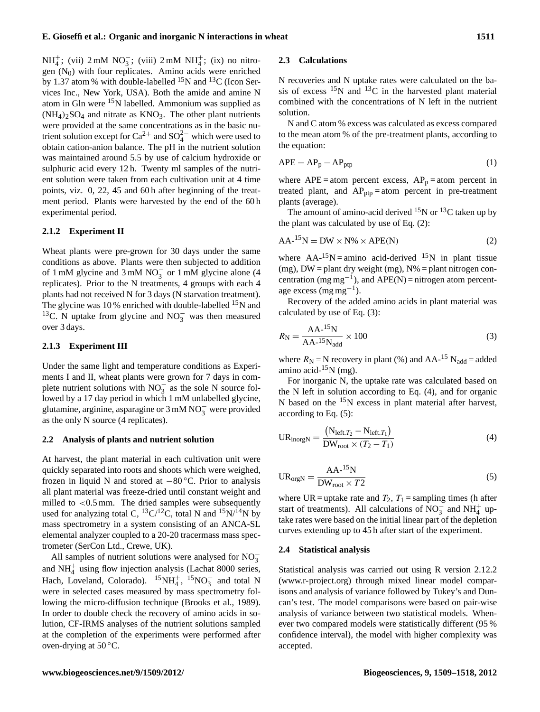NH<sup>+</sup>; (vii) 2 mM NO<sub>3</sub>; (viii) 2 mM NH<sup>+</sup>; (ix) no nitro- $\frac{1}{4}$ , (vm)  $2 \text{ min}$   $103$ , (vm)  $2 \text{ min}$   $104$ , (k) no map<br>gen (N<sub>0</sub>) with four replicates. Amino acids were enriched by 1.37 atom % with double-labelled  $^{15}$ N and  $^{13}$ C (Icon Services Inc., New York, USA). Both the amide and amine N atom in Gln were  $15N$  labelled. Ammonium was supplied as  $(NH_4)_2SO_4$  and nitrate as  $KNO_3$ . The other plant nutrients were provided at the same concentrations as in the basic nutrient solution except for Ca<sup>2+</sup> and SO<sub>4</sub><sup> $-$ </sup> which were used to obtain cation-anion balance. The pH in the nutrient solution was maintained around 5.5 by use of calcium hydroxide or sulphuric acid every 12 h. Twenty ml samples of the nutrient solution were taken from each cultivation unit at 4 time points, viz. 0, 22, 45 and 60 h after beginning of the treatment period. Plants were harvested by the end of the 60 h experimental period.

#### **2.1.2 Experiment II**

Wheat plants were pre-grown for 30 days under the same conditions as above. Plants were then subjected to addition of 1 mM glycine and 3 mM  $NO_3^-$  or 1 mM glycine alone (4 replicates). Prior to the N treatments, 4 groups with each 4 plants had not received N for 3 days (N starvation treatment). The glycine was 10 % enriched with double-labelled  $^{15}N$  and <sup>13</sup>C. N uptake from glycine and NO<sub>3</sub> was then measured over 3 days.

#### **2.1.3 Experiment III**

Under the same light and temperature conditions as Experiments I and II, wheat plants were grown for 7 days in complete nutrient solutions with  $NO_3^-$  as the sole N source followed by a 17 day period in which 1 mM unlabelled glycine, glutamine, arginine, asparagine or  $3 \text{ mM NO}_3^-$  were provided as the only N source (4 replicates).

#### **2.2 Analysis of plants and nutrient solution**

At harvest, the plant material in each cultivation unit were quickly separated into roots and shoots which were weighed, frozen in liquid N and stored at −80 ◦C. Prior to analysis all plant material was freeze-dried until constant weight and milled to  $\langle 0.5 \text{ mm} \rangle$ . The dried samples were subsequently used for analyzing total C,  ${}^{13}C/{}^{12}C$ , total N and  ${}^{15}N/{}^{14}N$  by mass spectrometry in a system consisting of an ANCA-SL elemental analyzer coupled to a 20-20 tracermass mass spectrometer (SerCon Ltd., Crewe, UK).

All samples of nutrient solutions were analysed for  $NO_3^$ and  $NH<sub>4</sub><sup>+</sup>$  using flow injection analysis (Lachat 8000 series, Hach, Loveland, Colorado).  ${}^{15}NH_4^+$ ,  ${}^{15}NO_3^-$  and total N were in selected cases measured by mass spectrometry following the micro-diffusion technique (Brooks et al., 1989). In order to double check the recovery of amino acids in solution, CF-IRMS analyses of the nutrient solutions sampled at the completion of the experiments were performed after oven-drying at  $50^{\circ}$ C.

#### **2.3 Calculations**

N recoveries and N uptake rates were calculated on the basis of excess  $^{15}N$  and  $^{13}C$  in the harvested plant material combined with the concentrations of N left in the nutrient solution.

N and C atom % excess was calculated as excess compared to the mean atom % of the pre-treatment plants, according to the equation:

$$
APE = AP_p - AP_{ptp} \tag{1}
$$

where  $APE = atom$  percent excess,  $AP_p = atom$  percent in treated plant, and  $AP_{ptp} = atom$  percent in pre-treatment plants (average).

The amount of amino-acid derived  $^{15}N$  or  $^{13}C$  taken up by the plant was calculated by use of Eq. (2):

$$
AA^{-15}N = DW \times N\% \times APE(N)
$$
 (2)

where  $AA^{-15}N =$ amino acid-derived  $^{15}N$  in plant tissue (mg),  $DW =$  plant dry weight (mg),  $N\% =$  plant nitrogen concentration (mg mg<sup>-1</sup>), and APE(N) = nitrogen atom percentage excess (mg mg−<sup>1</sup> ).

Recovery of the added amino acids in plant material was calculated by use of Eq. (3):

$$
R_{\rm N} = \frac{\text{AA}^{15}\text{N}}{\text{AA}^{15}\text{N}_{\rm add}} \times 100\tag{3}
$$

where  $R_N$  = N recovery in plant (%) and AA-<sup>15</sup> N<sub>add</sub> = added amino acid- $15$ N (mg).

For inorganic N, the uptake rate was calculated based on the N left in solution according to Eq. (4), and for organic N based on the  $15N$  excess in plant material after harvest, according to Eq. (5):

$$
UR_{\text{inorgN}} = \frac{(N_{\text{left}.T_2} - N_{\text{left}.T_1})}{DW_{\text{root}} \times (T_2 - T_1)}
$$
(4)

$$
UR_{\text{orgN}} = \frac{AA^{-15}N}{DW_{\text{root} \times T2}}
$$
 (5)

where UR = uptake rate and  $T_2$ ,  $T_1$  = sampling times (h after start of treatments). All calculations of  $\overline{NO_3^-}$  and  $\overline{NH_4^+}$  uptake rates were based on the initial linear part of the depletion curves extending up to 45 h after start of the experiment.

#### **2.4 Statistical analysis**

Statistical analysis was carried out using R version 2.12.2 [\(www.r-project.org\)](www.r-project.org) through mixed linear model comparisons and analysis of variance followed by Tukey's and Duncan's test. The model comparisons were based on pair-wise analysis of variance between two statistical models. Whenever two compared models were statistically different (95 % confidence interval), the model with higher complexity was accepted.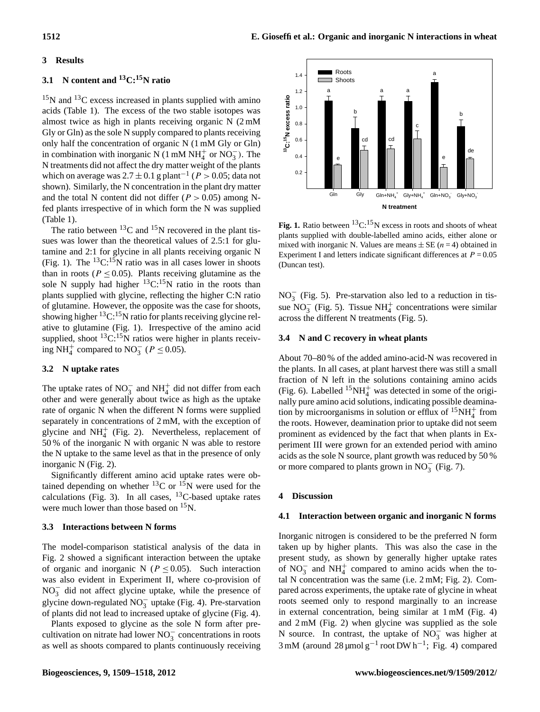## **3 Results**

## **3.1 N content and <sup>13</sup>C:15N ratio**

 $15$ N and  $13$ C excess increased in plants supplied with amino acids (Table 1). The excess of the two stable isotopes was almost twice as high in plants receiving organic N (2 mM Gly or Gln) as the sole N supply compared to plants receiving only half the concentration of organic N (1 mM Gly or Gln) in combination with inorganic N (1 mM  $NH_4^+$  or  $NO_3^-$ ). The N treatments did not affect the dry matter weight of the plants which on average was  $2.7 \pm 0.1$  g plant<sup>-1</sup> ( $P > 0.05$ ; data not shown). Similarly, the N concentration in the plant dry matter and the total N content did not differ ( $P > 0.05$ ) among Nfed plants irrespective of in which form the N was supplied (Table 1).

The ratio between  ${}^{13}$ C and  ${}^{15}$ N recovered in the plant tissues was lower than the theoretical values of 2.5:1 for glutamine and 2:1 for glycine in all plants receiving organic N (Fig. 1). The  ${}^{13}C:{}^{15}N$  ratio was in all cases lower in shoots than in roots ( $P \le 0.05$ ). Plants receiving glutamine as the sole N supply had higher  ${}^{13}C_{1}{}^{15}N$  ratio in the roots than plants supplied with glycine, reflecting the higher C:N ratio of glutamine. However, the opposite was the case for shoots, showing higher  ${}^{13}C$ :<sup>15</sup>N ratio for plants receiving glycine relative to glutamine (Fig. 1). Irrespective of the amino acid supplied, shoot  ${}^{13}C.{}^{15}N$  ratios were higher in plants receiving NH<sup>+</sup> compared to NO<sub>3</sub> ( $P \le 0.05$ ).

#### **3.2 N uptake rates**

The uptake rates of NO<sub>3</sub> and NH<sup>+</sup><sub>4</sub> did not differ from each other and were generally about twice as high as the uptake rate of organic N when the different N forms were supplied separately in concentrations of 2 mM, with the exception of glycine and  $NH<sub>4</sub><sup>+</sup>$  (Fig. 2). Nevertheless, replacement of 50 % of the inorganic N with organic N was able to restore the N uptake to the same level as that in the presence of only inorganic N (Fig. 2).

Significantly different amino acid uptake rates were obtained depending on whether  ${}^{13}$ C or  ${}^{15}$ N were used for the calculations (Fig. 3). In all cases,  $^{13}$ C-based uptake rates were much lower than those based on <sup>15</sup>N.

## **3.3 Interactions between N forms**

The model-comparison statistical analysis of the data in Fig. 2 showed a significant interaction between the uptake of organic and inorganic N ( $P \le 0.05$ ). Such interaction was also evident in Experiment II, where co-provision of NO<sub>3</sub> did not affect glycine uptake, while the presence of glycine down-regulated  $NO_3^-$  uptake (Fig. 4). Pre-starvation of plants did not lead to increased uptake of glycine (Fig. 4).

Plants exposed to glycine as the sole N form after precultivation on nitrate had lower  $NO_3^-$  concentrations in roots as well as shoots compared to plants continuously receiving



plants supplied with double-labelled amino acids, either alone or Experiment I and letters indicate significant differences at  $P = 0.05$ means (n=4) obtained in Experiment I and letters indicate significant indicate significant differences at Peri<br>Production in Experiment I and letters in Experiment differences at Periodicate significant differences at Per **Fig. 1.** Ratio between  ${}^{13}C.{}^{15}N$  excess in roots and shoots of wheat mixed with inorganic N. Values are means  $\pm$  SE (*n* = 4) obtained in (Duncan test).

 $NO<sub>3</sub><sup>-</sup>$  (Fig. 5). Pre-starvation also led to a reduction in tissue  $NO_3^-$  (Fig. 5). Tissue  $NH_4^+$  concentrations were similar across the different N treatments (Fig. 5).

#### **3.4 N and C recovery in wheat plants**

About 70–80 % of the added amino-acid-N was recovered in the plants. In all cases, at plant harvest there was still a small fraction of N left in the solutions containing amino acids (Fig. 6). Labelled  ${}^{15}NH_4^+$  was detected in some of the originally pure amino acid solutions, indicating possible deamination by microorganisms in solution or efflux of  ${}^{15}NH_4^+$  from the roots. However, deamination prior to uptake did not seem prominent as evidenced by the fact that when plants in Experiment III were grown for an extended period with amino acids as the sole N source, plant growth was reduced by 50 % or more compared to plants grown in  $NO_3^-$  (Fig. 7).

#### **4 Discussion**

#### **4.1 Interaction between organic and inorganic N forms**

Inorganic nitrogen is considered to be the preferred N form taken up by higher plants. This was also the case in the present study, as shown by generally higher uptake rates of  $NO_3^-$  and  $NH_4^+$  compared to amino acids when the total N concentration was the same (i.e. 2 mM; Fig. 2). Compared across experiments, the uptake rate of glycine in wheat roots seemed only to respond marginally to an increase in external concentration, being similar at 1 mM (Fig. 4) and 2 mM (Fig. 2) when glycine was supplied as the sole N source. In contrast, the uptake of  $\overline{NO_3^-}$  was higher at 3 mM (around 28 µmol  $g^{-1}$  root DW h<sup>-1</sup>; Fig. 4) compared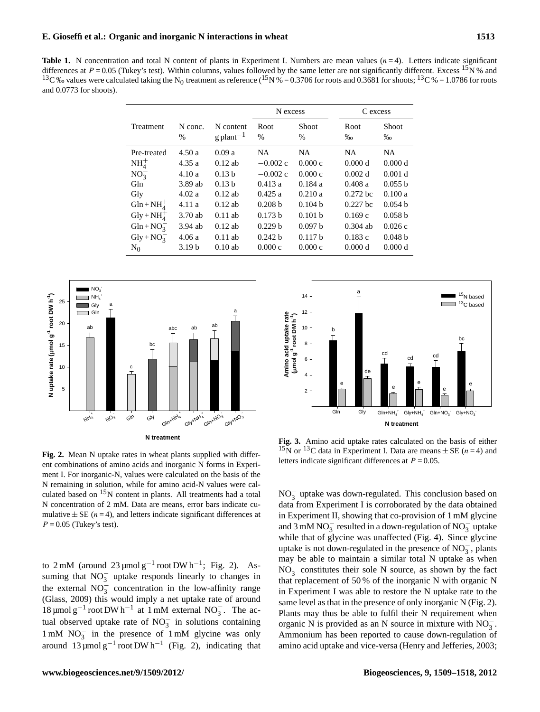#### **E. Gioseffi et al.: Organic and inorganic N interactions in wheat 1513**

**Table 1.** N concentration and total N content of plants in Experiment I. Numbers are mean values  $(n=4)$ . Letters indicate significant differences at  $P = 0.05$  (Tukey's test). Within columns, values followed by the same letter are not significantly different. Excess <sup>15</sup>N % and <sup>13</sup>C ‰ values were calculated taking the N<sub>0</sub> treatment as reference (<sup>15</sup>N % = 0.3706 for roots and 0.3681 for shoots; <sup>13</sup>C % = 1.0786 for roots and 0.0773 for shoots).

|                              |                   |                                      | N excess           |                      | C excess     |                    |
|------------------------------|-------------------|--------------------------------------|--------------------|----------------------|--------------|--------------------|
| Treatment                    | N conc.<br>%      | N content<br>$g$ plant <sup>-1</sup> | Root<br>$\%$       | <b>Shoot</b><br>$\%$ | Root<br>$\%$ | Shoot<br>$\%$      |
| Pre-treated                  | 4.50a             | 0.09a                                | NA.                | NA.                  | NA.          | NA.                |
| $NH4+$                       | 4.35a             | $0.12$ ab                            | $-0.002$ c         | 0.000c               | 0.000 d      | 0.000 d            |
| $NO_3^-$                     | 4.10a             | 0.13 <sub>b</sub>                    | $-0.002c$          | 0.000c               | 0.002 d      | 0.001 d            |
| Gln                          | 3.89 ab           | 0.13 <sub>b</sub>                    | 0.413a             | 0.184a               | 0.408a       | 0.055 b            |
| Gly                          | 4.02a             | $0.12$ ab                            | 0.425a             | 0.210a               | $0.272$ bc   | 0.100a             |
| $Gln + NH_4^+$               | 4.11a             | $0.12$ ab                            | 0.208 <sub>b</sub> | 0.104 <sub>b</sub>   | $0.227$ bc   | 0.054 h            |
| $\text{Gly} + \text{NH}_4^+$ | 3.70ab            | $0.11$ ab                            | 0.173 b            | 0.101 b              | 0.169c       | 0.058 <sub>b</sub> |
| $Gln + NO_3^-$               | $3.94$ ab         | $0.12$ ab                            | 0.229 b            | 0.097 b              | $0.304$ ab   | 0.026c             |
| $Gly + NO_3^-$               | 4.06a             | $0.11$ ab                            | 0.242 h            | 0.117h               | 0.183c       | 0.048 b            |
| $N_0$                        | 3.19 <sub>b</sub> | $0.10$ ab                            | 0.000c             | 0.000c               | 0.000 d      | 0.000 d            |



Fig. 2. Mean N uptake rates in wheat plants supplied with different combinations of amino acids and inorganic N forms in Experi-N remaining in solution, while for amino acid-N values were calculated based on  $15N$  content in plants. All treatments had a total mulative  $\pm$  SE (n = 4), and letters indicate significant differences at  $P = 0.05$  (Tukey's test). ment I. For inorganic-N, values were calculated on the basis of the N concentration of 2 mM. Data are means, error bars indicate cu-

 $1 \text{ mM } NO_3^-$  in the presence of  $1 \text{ mM }$  glycine was only to  $2 \text{ mM}$  (around  $23 \text{ \mu mol g}^{-1}$  root DW h<sup>-1</sup>; Fig. 2). Assuming that  $NO_3^-$  uptake responds linearly to changes in the external  $NO_3^-$  concentration in the low-affinity range (Glass, 2009) this would imply a net uptake rate of around 18 μmol g<sup>-1</sup> root DW h<sup>-1</sup> at 1 mM external NO<sub>3</sub>. The actual observed uptake rate of  $NO_3^-$  in solutions containing around  $13 \mu$ mol g<sup>-1</sup> root DW h<sup>-1</sup> (Fig. 2), indicating that



**Fig. 3.** Amino acid uptake rates calculated on the basis of either  $15N$  or  $13C$  data in Experiment I. Data are means  $\pm$  SE (n = 4) and letters indicate significant differences at  $P = 0.05$ . **Fig. 3.** Amino acid uptake rates calculated on the basis of either

organic N is provided as an N source in mixture with  $NO_3^-$ . NO<sub>3</sub> uptake was down-regulated. This conclusion based on data from Experiment I is corroborated by the data obtained in Experiment II, showing that co-provision of 1 mM glycine and  $3 \text{ mM NO}_3^-$  resulted in a down-regulation of NO<sub>3</sub> uptake while that of glycine was unaffected (Fig. 4). Since glycine uptake is not down-regulated in the presence of  $NO_3^-$ , plants may be able to maintain a similar total N uptake as when  $N\overline{O}_3^-$  constitutes their sole N source, as shown by the fact that replacement of 50 % of the inorganic N with organic N in Experiment I was able to restore the N uptake rate to the same level as that in the presence of only inorganic N (Fig. 2). Plants may thus be able to fulfil their N requirement when Ammonium has been reported to cause down-regulation of amino acid uptake and vice-versa (Henry and Jefferies, 2003;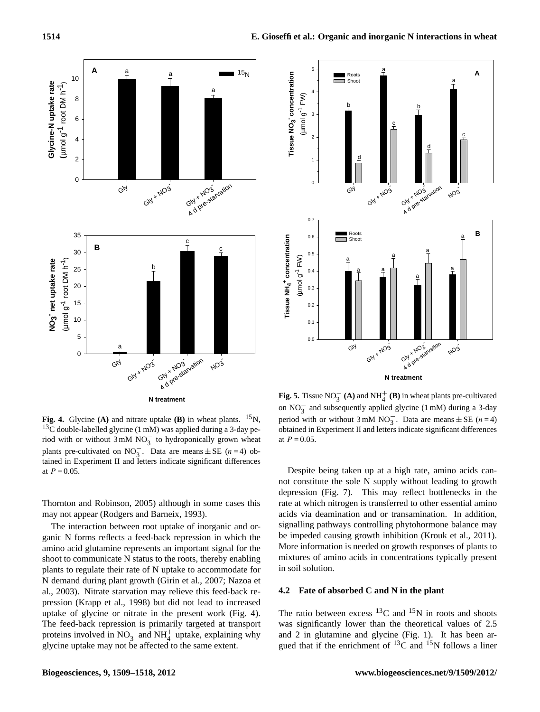



 $^{13}$ C double-labelled glycine (1 mM) was applied during a 3-day period with or without  $3 \text{ mM NO}_3^-$  to hydroponically grown wheat tained in Experiment II and letters indicate significant differences plants pre-cultivated on NO<sub>3</sub>. Data are means  $\pm$  SE (n = 4) obat  $P = 0.05$ . **Fig. 4.** Glycine **(A)** and nitrate uptake **(B)** in wheat plants. <sup>15</sup>N,

Thornton and Robinson, 2005) although in some cases this may not appear (Rodgers and Barneix, 1993).

The interaction between root uptake of inorganic and organic N forms reflects a feed-back repression in which the amino acid glutamine represents an important signal for the shoot to communicate N status to the roots, thereby enabling plants to regulate their rate of N uptake to accommodate for N demand during plant growth (Girin et al., 2007; Nazoa et al., 2003). Nitrate starvation may relieve this feed-back repression (Krapp et al., 1998) but did not lead to increased uptake of glycine or nitrate in the present work (Fig. 4). The feed-back repression is primarily targeted at transport proteins involved in  $NO_3^-$  and  $NH_4^+$  uptake, explaining why glycine uptake may not be affected to the same extent.



**Fig. 5.** Tissue  $NO_3^-$  (A) and  $NH_4^+$  (B) in wheat plants pre-cultivated on  $NO_3^-$  and subsequently applied glycine (1 mM) during a 3-day period with or without  $3 \text{ mM NO}_3^-$ . Data are means  $\pm$  SE (n = 4) obtained in Experiment II and letters indicate significant differences at  $P = 0.05$ .

be impeded causing growth inhibition (Krouk et al., 2011). Despite being taken up at a high rate, amino acids cannot constitute the sole N supply without leading to growth depression (Fig. 7). This may reflect bottlenecks in the rate at which nitrogen is transferred to other essential amino acids via deamination and or transamination. In addition, signalling pathways controlling phytohormone balance may More information is needed on growth responses of plants to mixtures of amino acids in concentrations typically present in soil solution.

## **4.2 Fate of absorbed C and N in the plant**

The ratio between excess  $^{13}$ C and  $^{15}$ N in roots and shoots was significantly lower than the theoretical values of 2.5 and 2 in glutamine and glycine (Fig. 1). It has been argued that if the enrichment of  $^{13}$ C and  $^{15}$ N follows a liner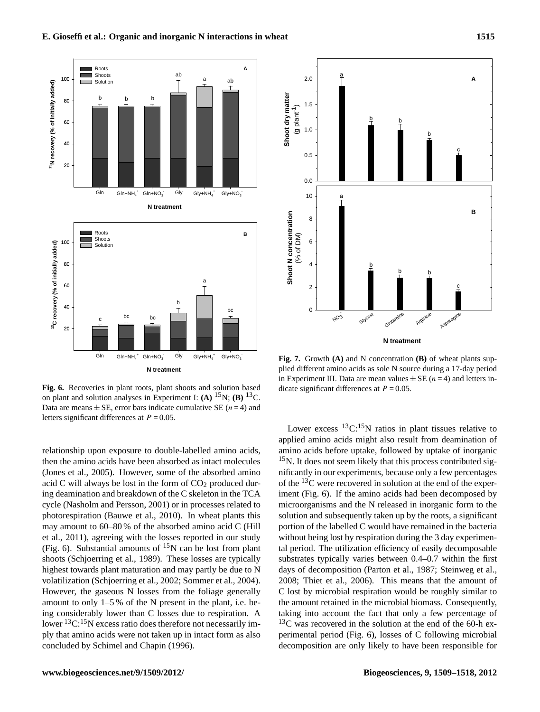

**Fig. 6.** Recoveries in plant roots, plant shoots and solution based di on plant and solution analyses in Experiment I: **(A)** <sup>15</sup>N; **(B)** <sup>13</sup>C. letters significant differences at  $P = 0.05$ . Data are means  $\pm$  SE, error bars indicate cumulative SE ( $n = 4$ ) and

relationship upon exposure to double-labelled amino acids, then the amino acids have been absorbed as intact molecules (Jones et al., 2005). However, some of the absorbed amino acid C will always be lost in the form of  $CO<sub>2</sub>$  produced during deamination and breakdown of the C skeleton in the TCA cycle (Nasholm and Persson, 2001) or in processes related to photorespiration (Bauwe et al., 2010). In wheat plants this may amount to 60–80 % of the absorbed amino acid C (Hill et al., 2011), agreeing with the losses reported in our study (Fig. 6). Substantial amounts of  $^{15}N$  can be lost from plant shoots (Schjoerring et al., 1989). These losses are typically highest towards plant maturation and may partly be due to N volatilization (Schjoerring et al., 2002; Sommer et al., 2004). However, the gaseous N losses from the foliage generally amount to only 1–5 % of the N present in the plant, i.e. being considerably lower than C losses due to respiration. A lower  ${}^{13}C.{}^{15}N$  excess ratio does therefore not necessarily imply that amino acids were not taken up in intact form as also concluded by Schimel and Chapin (1996).



**Fig. 7.** Growth **(A)** and N concentration **(B)** of wheat plants supin Experiment III. Data are mean values  $\pm$  SE (n = 4) and letters inplied different amino acids as sole N source during a 17-day period dicate significant differences at  $P = 0.05$ .

of the  $^{13}$ C were recovered in solution at the end of the exper-Lower excess  ${}^{13}C:{}^{15}N$  ratios in plant tissues relative to applied amino acids might also result from deamination of amino acids before uptake, followed by uptake of inorganic  $15$ N. It does not seem likely that this process contributed significantly in our experiments, because only a few percentages iment (Fig. 6). If the amino acids had been decomposed by microorganisms and the N released in inorganic form to the solution and subsequently taken up by the roots, a significant portion of the labelled C would have remained in the bacteria without being lost by respiration during the 3 day experimental period. The utilization efficiency of easily decomposable substrates typically varies between 0.4–0.7 within the first days of decomposition (Parton et al., 1987; Steinweg et al., 2008; Thiet et al., 2006). This means that the amount of C lost by microbial respiration would be roughly similar to the amount retained in the microbial biomass. Consequently, taking into account the fact that only a few percentage of  $^{13}$ C was recovered in the solution at the end of the 60-h experimental period (Fig. 6), losses of C following microbial decomposition are only likely to have been responsible for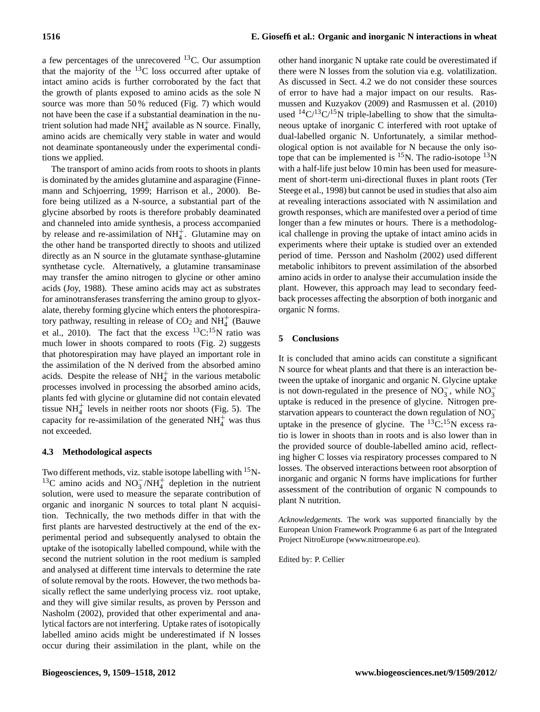a few percentages of the unrecovered  $^{13}$ C. Our assumption that the majority of the  $^{13}$ C loss occurred after uptake of intact amino acids is further corroborated by the fact that the growth of plants exposed to amino acids as the sole N source was more than 50 % reduced (Fig. 7) which would not have been the case if a substantial deamination in the nutrient solution had made  $NH_4^+$  available as N source. Finally, amino acids are chemically very stable in water and would not deaminate spontaneously under the experimental conditions we applied.

The transport of amino acids from roots to shoots in plants is dominated by the amides glutamine and asparagine (Finnemann and Schjoerring, 1999; Harrison et al., 2000). Before being utilized as a N-source, a substantial part of the glycine absorbed by roots is therefore probably deaminated and channeled into amide synthesis, a process accompanied by release and re-assimilation of  $NH_4^+$ . Glutamine may on the other hand be transported directly to shoots and utilized directly as an N source in the glutamate synthase-glutamine synthetase cycle. Alternatively, a glutamine transaminase may transfer the amino nitrogen to glycine or other amino acids (Joy, 1988). These amino acids may act as substrates for aminotransferases transferring the amino group to glyoxalate, thereby forming glycine which enters the photorespiratory pathway, resulting in release of  $CO<sub>2</sub>$  and  $NH<sub>4</sub><sup>+</sup>$  (Bauwe tory pairway, resulting in release of  $CO<sub>2</sub>$  and  $M<sub>4</sub>$  (Bauwe et al., 2010). The fact that the excess  $^{13}C<sup>15</sup>N$  ratio was much lower in shoots compared to roots (Fig. 2) suggests that photorespiration may have played an important role in the assimilation of the N derived from the absorbed amino acids. Despite the release of  $NH_4^+$  in the various metabolic processes involved in processing the absorbed amino acids, plants fed with glycine or glutamine did not contain elevated tissue  $NH<sub>4</sub><sup>+</sup>$  levels in neither roots nor shoots (Fig. 5). The capacity for re-assimilation of the generated  $NH<sub>4</sub><sup>+</sup>$  was thus not exceeded.

## **4.3 Methodological aspects**

Two different methods, viz. stable isotope labelling with <sup>15</sup>N-<sup>13</sup>C amino acids and NO<sub>3</sub> /NH<sub>4</sub><sup>+</sup> depletion in the nutrient solution, were used to measure the separate contribution of organic and inorganic N sources to total plant N acquisition. Technically, the two methods differ in that with the first plants are harvested destructively at the end of the experimental period and subsequently analysed to obtain the uptake of the isotopically labelled compound, while with the second the nutrient solution in the root medium is sampled and analysed at different time intervals to determine the rate of solute removal by the roots. However, the two methods basically reflect the same underlying process viz. root uptake, and they will give similar results, as proven by Persson and Nasholm (2002), provided that other experimental and analytical factors are not interfering. Uptake rates of isotopically labelled amino acids might be underestimated if N losses occur during their assimilation in the plant, while on the other hand inorganic N uptake rate could be overestimated if there were N losses from the solution via e.g. volatilization. As discussed in Sect. 4.2 we do not consider these sources of error to have had a major impact on our results. Rasmussen and Kuzyakov (2009) and Rasmussen et al. (2010) used  $^{14}C/^{13}C/^{15}N$  triple-labelling to show that the simultaneous uptake of inorganic C interfered with root uptake of dual-labelled organic N. Unfortunately, a similar methodological option is not available for N because the only isotope that can be implemented is  ${}^{15}N$ . The radio-isotope  ${}^{13}N$ with a half-life just below 10 min has been used for measurement of short-term uni-directional fluxes in plant roots (Ter Steege et al., 1998) but cannot be used in studies that also aim at revealing interactions associated with N assimilation and growth responses, which are manifested over a period of time longer than a few minutes or hours. There is a methodological challenge in proving the uptake of intact amino acids in experiments where their uptake is studied over an extended period of time. Persson and Nasholm (2002) used different metabolic inhibitors to prevent assimilation of the absorbed amino acids in order to analyse their accumulation inside the plant. However, this approach may lead to secondary feedback processes affecting the absorption of both inorganic and organic N forms.

#### **5 Conclusions**

It is concluded that amino acids can constitute a significant N source for wheat plants and that there is an interaction between the uptake of inorganic and organic N. Glycine uptake is not down-regulated in the presence of  $NO_3^-$ , while  $NO_3^$ uptake is reduced in the presence of glycine. Nitrogen prestarvation appears to counteract the down regulation of  $\overline{NO_3^-}$ uptake in the presence of glycine. The  ${}^{13}C_{0}{}^{15}N$  excess ratio is lower in shoots than in roots and is also lower than in the provided source of double-labelled amino acid, reflecting higher C losses via respiratory processes compared to N losses. The observed interactions between root absorption of inorganic and organic N forms have implications for further assessment of the contribution of organic N compounds to plant N nutrition.

*Acknowledgements.* The work was supported financially by the European Union Framework Programme 6 as part of the Integrated Project NitroEurope [\(www.nitroeurope.eu\)](www.nitroeurope.eu).

Edited by: P. Cellier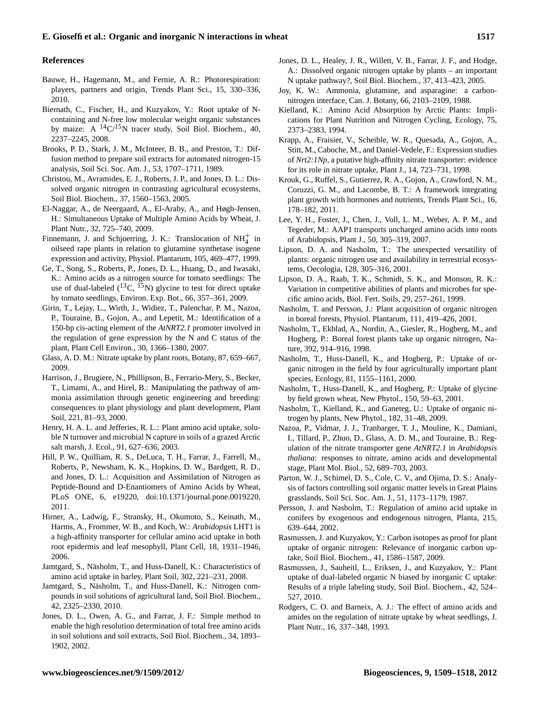#### **References**

- Bauwe, H., Hagemann, M., and Fernie, A. R.: Photorespiration: players, partners and origin, Trends Plant Sci., 15, 330–336, 2010.
- Biernath, C., Fischer, H., and Kuzyakov, Y.: Root uptake of Ncontaining and N-free low molecular weight organic substances by maize: A  ${}^{14}C/{}^{15}N$  tracer study, Soil Biol. Biochem., 40, 2237–2245, 2008.
- Brooks, P. D., Stark, J. M., McInteer, B. B., and Preston, T.: Diffusion method to prepare soil extracts for automated nitrogen-15 analysis, Soil Sci. Soc. Am. J., 53, 1707–1711, 1989.
- Christou, M., Avramides, E. J., Roberts, J. P., and Jones, D. L.: Dissolved organic nitrogen in contrasting agricultural ecosystems, Soil Biol. Biochem., 37, 1560–1563, 2005.
- El-Naggar, A., de Neergaard, A., El-Araby, A., and Høgh-Jensen, H.: Simultaneous Uptake of Multiple Amino Acids by Wheat, J. Plant Nutr., 32, 725–740, 2009.
- Finnemann, J. and Schjoerring, J. K.: Translocation of  $NH<sub>4</sub><sup>+</sup>$  in oilseed rape plants in relation to glutamine synthetase isogene expression and activity, Physiol. Plantarum, 105, 469–477, 1999.
- Ge, T., Song, S., Roberts, P., Jones, D. L., Huang, D., and Iwasaki, K.: Amino acids as a nitrogen source for tomato seedlings: The use of dual-labeled  $(^{13}C, ^{15}N)$  glycine to test for direct uptake by tomato seedlings, Environ. Exp. Bot., 66, 357–361, 2009.
- Girin, T., Lejay, L., Wirth, J., Widiez, T., Palenchar, P. M., Nazoa, P., Touraine, B., Gojon, A., and Lepetit, M.: Identification of a 150-bp cis-acting element of the *AtNRT2.1* promoter involved in the regulation of gene expression by the N and C status of the plant, Plant Cell Environ., 30, 1366–1380, 2007.
- Glass, A. D. M.: Nitrate uptake by plant roots, Botany, 87, 659–667, 2009.
- Harrison, J., Brugiere, N., Phillipson, B., Ferrario-Mery, S., Becker, T., Limami, A., and Hirel, B.: Manipulating the pathway of ammonia assimilation through genetic engineering and breeding: consequences to plant physiology and plant development, Plant Soil, 221, 81–93, 2000.
- Henry, H. A. L. and Jefferies, R. L.: Plant amino acid uptake, soluble N turnover and microbial N capture in soils of a grazed Arctic salt marsh, J. Ecol., 91, 627–636, 2003.
- Hill, P. W., Quilliam, R. S., DeLuca, T. H., Farrar, J., Farrell, M., Roberts, P., Newsham, K. K., Hopkins, D. W., Bardgett, R. D., and Jones, D. L.: Acquisition and Assimilation of Nitrogen as Peptide-Bound and D-Enantiomers of Amino Acids by Wheat, PLoS ONE, 6, e19220, [doi:10.1371/journal.pone.0019220,](http://dx.doi.org/10.1371/journal.pone.0019220) 2011.
- Hirner, A., Ladwig, F., Stransky, H., Okumoto, S., Keinath, M., Harms, A., Frommer, W. B., and Koch, W.: *Arabidopsis* LHT1 is a high-affinity transporter for cellular amino acid uptake in both root epidermis and leaf mesophyll, Plant Cell, 18, 1931–1946, 2006.
- Jamtgard, S., Näsholm, T., and Huss-Danell, K.: Characteristics of amino acid uptake in barley, Plant Soil, 302, 221–231, 2008.
- Jamtgard, S., Näsholm, T., and Huss-Danell, K.: Nitrogen compounds in soil solutions of agricultural land, Soil Biol. Biochem., 42, 2325–2330, 2010.
- Jones, D. L., Owen, A. G., and Farrar, J. F.: Simple method to enable the high resolution determination of total free amino acids in soil solutions and soil extracts, Soil Biol. Biochem., 34, 1893– 1902, 2002.
- Jones, D. L., Healey, J. R., Willett, V. B., Farrar, J. F., and Hodge, A.: Dissolved organic nitrogen uptake by plants – an important N uptake pathway?, Soil Biol. Biochem., 37, 413–423, 2005.
- Joy, K. W.: Ammonia, glutamine, and asparagine: a carbonnitrogen interface, Can. J. Botany, 66, 2103–2109, 1988.
- Kielland, K.: Amino Acid Absorption by Arctic Plants: Implications for Plant Nutrition and Nitrogen Cycling, Ecology, 75, 2373–2383, 1994.
- Krapp, A., Fraisier, V., Scheible, W. R., Quesada, A., Gojon, A., Stitt, M., Caboche, M., and Daniel-Vedele, F.: Expression studies of *Nrt2:1Np*, a putative high-affinity nitrate transporter: evidence for its role in nitrate uptake, Plant J., 14, 723–731, 1998.
- Krouk, G., Ruffel, S., Gutierrez, R. A., Gojon, A., Crawford, N. M., Coruzzi, G. M., and Lacombe, B. T.: A framework integrating plant growth with hormones and nutrients, Trends Plant Sci., 16, 178–182, 2011.
- Lee, Y. H., Foster, J., Chen, J., Voll, L. M., Weber, A. P. M., and Tegeder, M.: AAP1 transports uncharged amino acids into roots of Arabidopsis, Plant J., 50, 305–319, 2007.
- Lipson, D. A. and Nasholm, T.: The unexpected versatility of plants: organic nitrogen use and availability in terrestrial ecosystems, Oecologia, 128, 305–316, 2001.
- Lipson, D. A., Raab, T. K., Schmidt, S. K., and Monson, R. K.: Variation in competitive abilities of plants and microbes for specific amino acids, Biol. Fert. Soils, 29, 257–261, 1999.
- Nasholm, T. and Persson, J.: Plant acquisition of organic nitrogen in boreal forests, Physiol. Plantarum, 111, 419–426, 2001.
- Nasholm, T., Ekblad, A., Nordin, A., Giesler, R., Hogberg, M., and Hogberg, P.: Boreal forest plants take up organic nitrogen, Nature, 392, 914–916, 1998.
- Nasholm, T., Huss-Danell, K., and Hogberg, P.: Uptake of organic nitrogen in the field by four agriculturally important plant species, Ecology, 81, 1155–1161, 2000.
- Nasholm, T., Huss-Danell, K., and Hogberg, P.: Uptake of glycine by field grown wheat, New Phytol., 150, 59–63, 2001.
- Nasholm, T., Kielland, K., and Ganeteg, U.: Uptake of organic nitrogen by plants, New Phytol., 182, 31–48, 2009.
- Nazoa, P., Vidmar, J. J., Tranbarger, T. J., Mouline, K., Damiani, I., Tillard, P., Zhuo, D., Glass, A. D. M., and Touraine, B.: Regulation of the nitrate transporter gene *AtNRT2.1* in *Arabidopsis thaliana*: responses to nitrate, amino acids and developmental stage, Plant Mol. Biol., 52, 689–703, 2003.
- Parton, W. J., Schimel, D. S., Cole, C. V., and Ojima, D. S.: Analysis of factors controlling soil organic matter levels in Great Plains grasslands, Soil Sci. Soc. Am. J., 51, 1173–1179, 1987.
- Persson, J. and Nasholm, T.: Regulation of amino acid uptake in conifers by exogenous and endogenous nitrogen, Planta, 215, 639–644, 2002.
- Rasmussen, J. and Kuzyakov, Y.: Carbon isotopes as proof for plant uptake of organic nitrogen: Relevance of inorganic carbon uptake, Soil Biol. Biochem., 41, 1586–1587, 2009.
- Rasmussen, J., Sauheitl, L., Eriksen, J., and Kuzyakov, Y.: Plant uptake of dual-labeled organic N biased by inorganic C uptake: Results of a triple labeling study, Soil Biol. Biochem., 42, 524– 527, 2010.
- Rodgers, C. O. and Barneix, A. J.: The effect of amino acids and amides on the regulation of nitrate uptake by wheat seedlings, J. Plant Nutr., 16, 337–348, 1993.